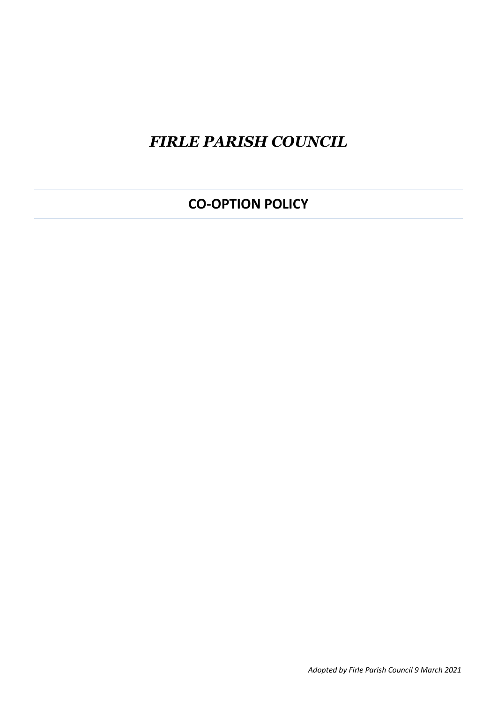# *FIRLE PARISH COUNCIL*

# **CO-OPTION POLICY**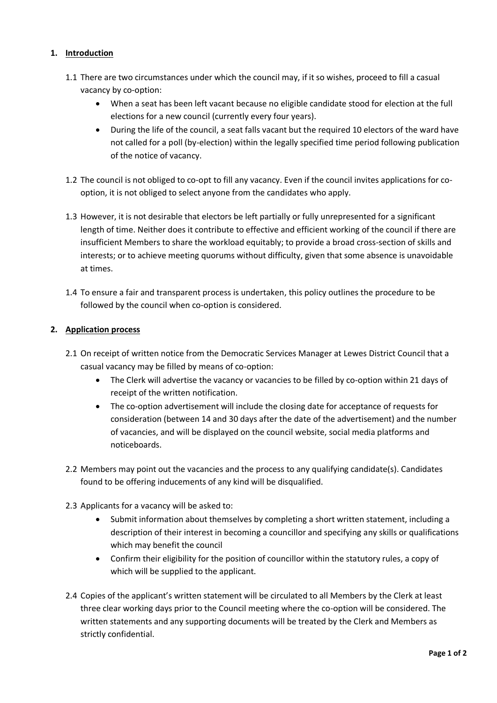## **1. Introduction**

- 1.1 There are two circumstances under which the council may, if it so wishes, proceed to fill a casual vacancy by co-option:
	- When a seat has been left vacant because no eligible candidate stood for election at the full elections for a new council (currently every four years).
	- During the life of the council, a seat falls vacant but the required 10 electors of the ward have not called for a poll (by-election) within the legally specified time period following publication of the notice of vacancy.
- 1.2 The council is not obliged to co-opt to fill any vacancy. Even if the council invites applications for cooption, it is not obliged to select anyone from the candidates who apply.
- 1.3 However, it is not desirable that electors be left partially or fully unrepresented for a significant length of time. Neither does it contribute to effective and efficient working of the council if there are insufficient Members to share the workload equitably; to provide a broad cross-section of skills and interests; or to achieve meeting quorums without difficulty, given that some absence is unavoidable at times.
- 1.4 To ensure a fair and transparent process is undertaken, this policy outlines the procedure to be followed by the council when co-option is considered.

### **2. Application process**

- 2.1 On receipt of written notice from the Democratic Services Manager at Lewes District Council that a casual vacancy may be filled by means of co-option:
	- The Clerk will advertise the vacancy or vacancies to be filled by co-option within 21 days of receipt of the written notification.
	- The co-option advertisement will include the closing date for acceptance of requests for consideration (between 14 and 30 days after the date of the advertisement) and the number of vacancies, and will be displayed on the council website, social media platforms and noticeboards.
- 2.2 Members may point out the vacancies and the process to any qualifying candidate(s). Candidates found to be offering inducements of any kind will be disqualified.
- 2.3 Applicants for a vacancy will be asked to:
	- Submit information about themselves by completing a short written statement, including a description of their interest in becoming a councillor and specifying any skills or qualifications which may benefit the council
	- Confirm their eligibility for the position of councillor within the statutory rules, a copy of which will be supplied to the applicant.
- 2.4 Copies of the applicant's written statement will be circulated to all Members by the Clerk at least three clear working days prior to the Council meeting where the co-option will be considered. The written statements and any supporting documents will be treated by the Clerk and Members as strictly confidential.